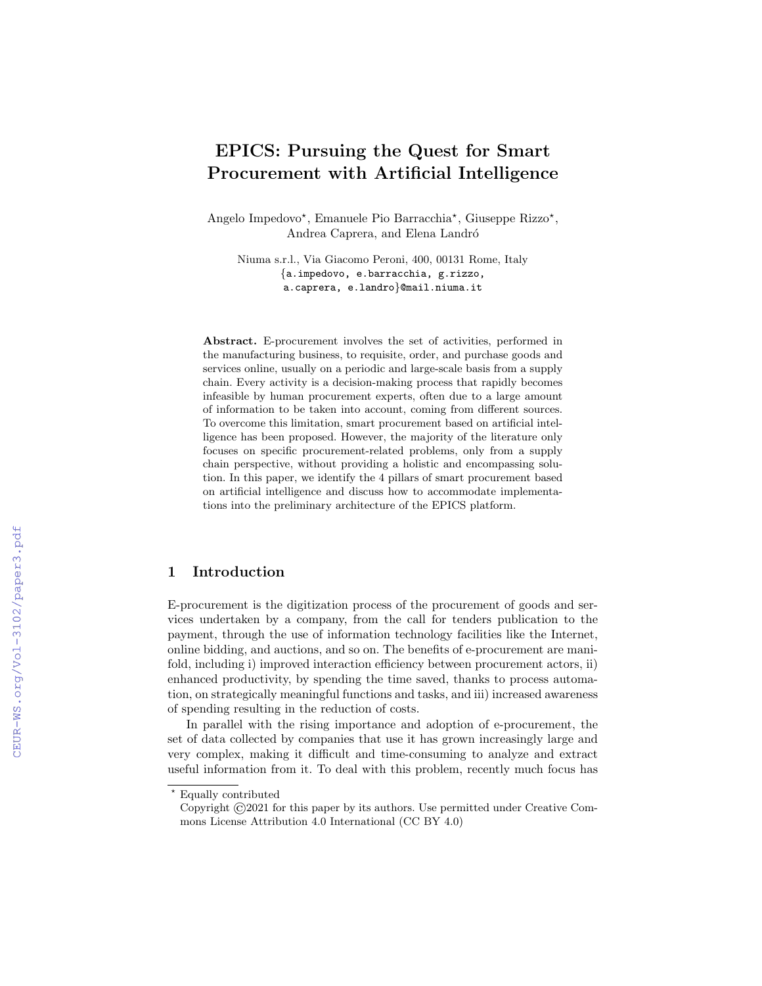# EPICS: Pursuing the Quest for Smart Procurement with Artificial Intelligence

Angelo Impedovo\*, Emanuele Pio Barracchia\*, Giuseppe Rizzo\*, Andrea Caprera, and Elena Landró

Niuma s.r.l., Via Giacomo Peroni, 400, 00131 Rome, Italy {a.impedovo, e.barracchia, g.rizzo, a.caprera, e.landro}@mail.niuma.it

Abstract. E-procurement involves the set of activities, performed in the manufacturing business, to requisite, order, and purchase goods and services online, usually on a periodic and large-scale basis from a supply chain. Every activity is a decision-making process that rapidly becomes infeasible by human procurement experts, often due to a large amount of information to be taken into account, coming from different sources. To overcome this limitation, smart procurement based on artificial intelligence has been proposed. However, the majority of the literature only focuses on specific procurement-related problems, only from a supply chain perspective, without providing a holistic and encompassing solution. In this paper, we identify the 4 pillars of smart procurement based on artificial intelligence and discuss how to accommodate implementations into the preliminary architecture of the EPICS platform.

# 1 Introduction

E-procurement is the digitization process of the procurement of goods and services undertaken by a company, from the call for tenders publication to the payment, through the use of information technology facilities like the Internet, online bidding, and auctions, and so on. The benefits of e-procurement are manifold, including i) improved interaction efficiency between procurement actors, ii) enhanced productivity, by spending the time saved, thanks to process automation, on strategically meaningful functions and tasks, and iii) increased awareness of spending resulting in the reduction of costs.

In parallel with the rising importance and adoption of e-procurement, the set of data collected by companies that use it has grown increasingly large and very complex, making it difficult and time-consuming to analyze and extract useful information from it. To deal with this problem, recently much focus has

<sup>⋆</sup> Equally contributed

Copyright ©2021 for this paper by its authors. Use permitted under Creative Commons License Attribution 4.0 International (CC BY 4.0)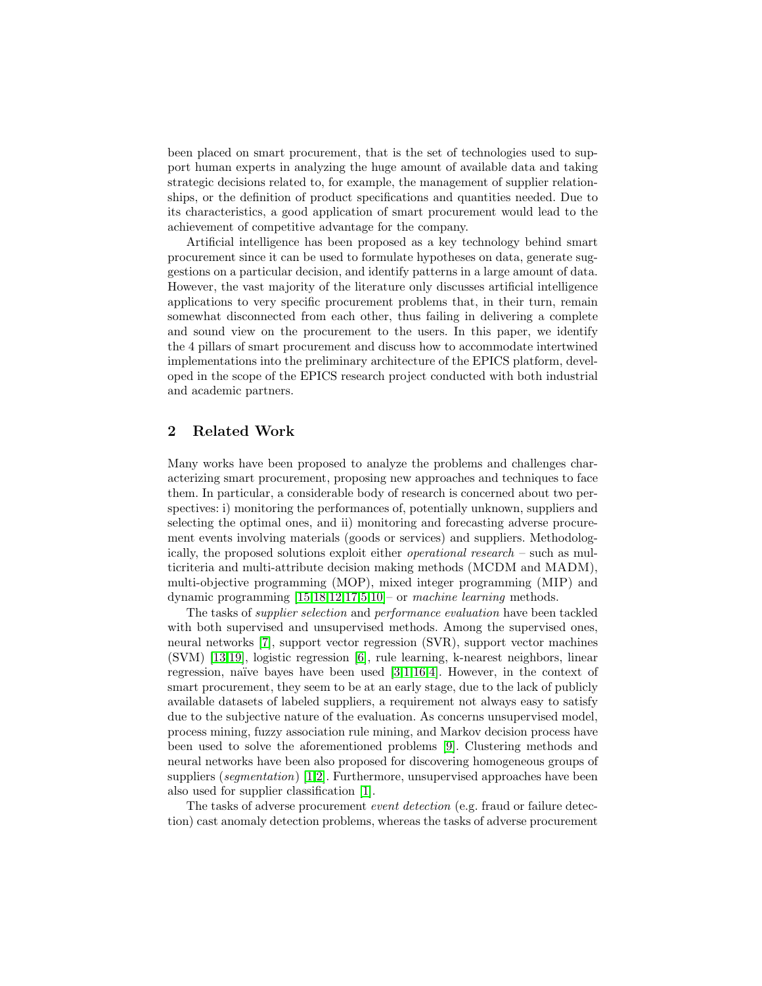been placed on smart procurement, that is the set of technologies used to support human experts in analyzing the huge amount of available data and taking strategic decisions related to, for example, the management of supplier relationships, or the definition of product specifications and quantities needed. Due to its characteristics, a good application of smart procurement would lead to the achievement of competitive advantage for the company.

Artificial intelligence has been proposed as a key technology behind smart procurement since it can be used to formulate hypotheses on data, generate suggestions on a particular decision, and identify patterns in a large amount of data. However, the vast majority of the literature only discusses artificial intelligence applications to very specific procurement problems that, in their turn, remain somewhat disconnected from each other, thus failing in delivering a complete and sound view on the procurement to the users. In this paper, we identify the 4 pillars of smart procurement and discuss how to accommodate intertwined implementations into the preliminary architecture of the EPICS platform, developed in the scope of the EPICS research project conducted with both industrial and academic partners.

## 2 Related Work

Many works have been proposed to analyze the problems and challenges characterizing smart procurement, proposing new approaches and techniques to face them. In particular, a considerable body of research is concerned about two perspectives: i) monitoring the performances of, potentially unknown, suppliers and selecting the optimal ones, and ii) monitoring and forecasting adverse procurement events involving materials (goods or services) and suppliers. Methodologically, the proposed solutions exploit either operational research – such as multicriteria and multi-attribute decision making methods (MCDM and MADM), multi-objective programming (MOP), mixed integer programming (MIP) and dynamic programming [\[15,](#page-7-0)[18,](#page-7-1)[12,](#page-6-0)[17](#page-7-2)[,5,](#page-6-1)[10\]](#page-6-2)– or machine learning methods.

The tasks of supplier selection and performance evaluation have been tackled with both supervised and unsupervised methods. Among the supervised ones, neural networks [\[7\]](#page-6-3), support vector regression (SVR), support vector machines (SVM) [\[13](#page-6-4)[,19\]](#page-7-3), logistic regression [\[6\]](#page-6-5), rule learning, k-nearest neighbors, linear regression, naïve bayes have been used  $[3,1,16,4]$  $[3,1,16,4]$  $[3,1,16,4]$  $[3,1,16,4]$ . However, in the context of smart procurement, they seem to be at an early stage, due to the lack of publicly available datasets of labeled suppliers, a requirement not always easy to satisfy due to the subjective nature of the evaluation. As concerns unsupervised model, process mining, fuzzy association rule mining, and Markov decision process have been used to solve the aforementioned problems [\[9\]](#page-6-9). Clustering methods and neural networks have been also proposed for discovering homogeneous groups of suppliers (*segmentation*) [\[1,](#page-6-7)[2\]](#page-6-10). Furthermore, unsupervised approaches have been also used for supplier classification [\[1\]](#page-6-7).

The tasks of adverse procurement event detection (e.g. fraud or failure detection) cast anomaly detection problems, whereas the tasks of adverse procurement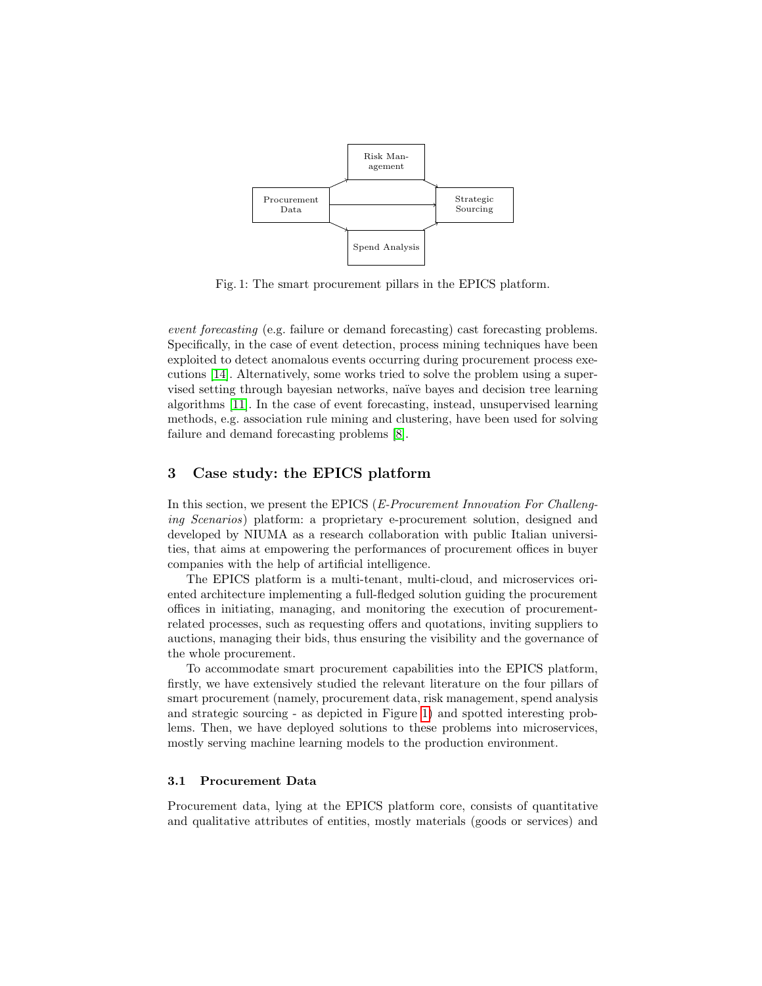<span id="page-2-0"></span>

Fig. 1: The smart procurement pillars in the EPICS platform.

event forecasting (e.g. failure or demand forecasting) cast forecasting problems. Specifically, in the case of event detection, process mining techniques have been exploited to detect anomalous events occurring during procurement process executions [\[14\]](#page-6-11). Alternatively, some works tried to solve the problem using a supervised setting through bayesian networks, naïve bayes and decision tree learning algorithms [\[11\]](#page-6-12). In the case of event forecasting, instead, unsupervised learning methods, e.g. association rule mining and clustering, have been used for solving failure and demand forecasting problems [\[8\]](#page-6-13).

## 3 Case study: the EPICS platform

In this section, we present the EPICS (*E-Procurement Innovation For Challeng*ing Scenarios) platform: a proprietary e-procurement solution, designed and developed by NIUMA as a research collaboration with public Italian universities, that aims at empowering the performances of procurement offices in buyer companies with the help of artificial intelligence.

The EPICS platform is a multi-tenant, multi-cloud, and microservices oriented architecture implementing a full-fledged solution guiding the procurement offices in initiating, managing, and monitoring the execution of procurementrelated processes, such as requesting offers and quotations, inviting suppliers to auctions, managing their bids, thus ensuring the visibility and the governance of the whole procurement.

To accommodate smart procurement capabilities into the EPICS platform, firstly, we have extensively studied the relevant literature on the four pillars of smart procurement (namely, procurement data, risk management, spend analysis and strategic sourcing - as depicted in Figure [1\)](#page-2-0) and spotted interesting problems. Then, we have deployed solutions to these problems into microservices, mostly serving machine learning models to the production environment.

## 3.1 Procurement Data

Procurement data, lying at the EPICS platform core, consists of quantitative and qualitative attributes of entities, mostly materials (goods or services) and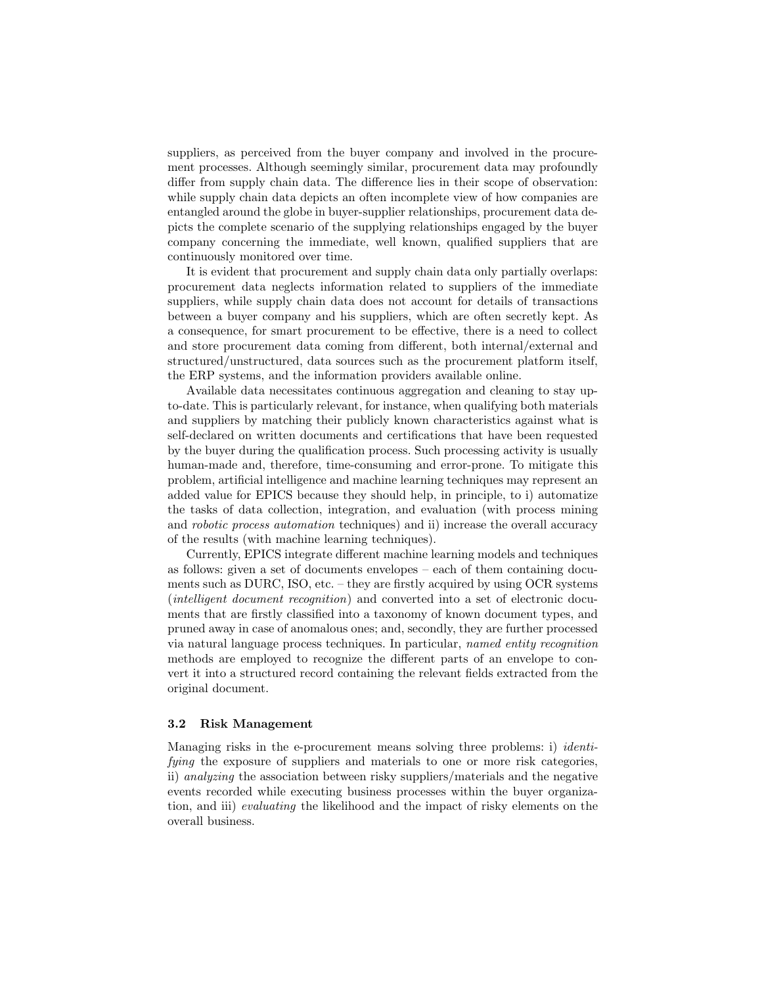suppliers, as perceived from the buyer company and involved in the procurement processes. Although seemingly similar, procurement data may profoundly differ from supply chain data. The difference lies in their scope of observation: while supply chain data depicts an often incomplete view of how companies are entangled around the globe in buyer-supplier relationships, procurement data depicts the complete scenario of the supplying relationships engaged by the buyer company concerning the immediate, well known, qualified suppliers that are continuously monitored over time.

It is evident that procurement and supply chain data only partially overlaps: procurement data neglects information related to suppliers of the immediate suppliers, while supply chain data does not account for details of transactions between a buyer company and his suppliers, which are often secretly kept. As a consequence, for smart procurement to be effective, there is a need to collect and store procurement data coming from different, both internal/external and structured/unstructured, data sources such as the procurement platform itself, the ERP systems, and the information providers available online.

Available data necessitates continuous aggregation and cleaning to stay upto-date. This is particularly relevant, for instance, when qualifying both materials and suppliers by matching their publicly known characteristics against what is self-declared on written documents and certifications that have been requested by the buyer during the qualification process. Such processing activity is usually human-made and, therefore, time-consuming and error-prone. To mitigate this problem, artificial intelligence and machine learning techniques may represent an added value for EPICS because they should help, in principle, to i) automatize the tasks of data collection, integration, and evaluation (with process mining and robotic process automation techniques) and ii) increase the overall accuracy of the results (with machine learning techniques).

Currently, EPICS integrate different machine learning models and techniques as follows: given a set of documents envelopes – each of them containing documents such as DURC, ISO, etc. – they are firstly acquired by using OCR systems (intelligent document recognition) and converted into a set of electronic documents that are firstly classified into a taxonomy of known document types, and pruned away in case of anomalous ones; and, secondly, they are further processed via natural language process techniques. In particular, named entity recognition methods are employed to recognize the different parts of an envelope to convert it into a structured record containing the relevant fields extracted from the original document.

#### 3.2 Risk Management

Managing risks in the e-procurement means solving three problems: i) *identi*fying the exposure of suppliers and materials to one or more risk categories, ii) analyzing the association between risky suppliers/materials and the negative events recorded while executing business processes within the buyer organization, and iii) evaluating the likelihood and the impact of risky elements on the overall business.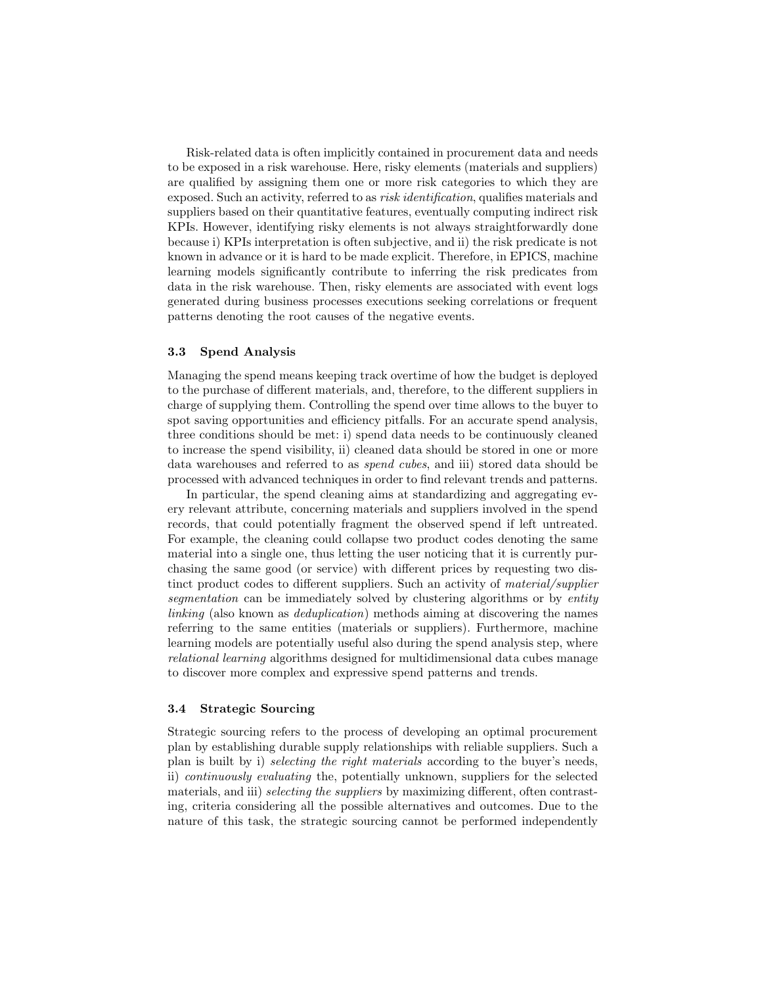Risk-related data is often implicitly contained in procurement data and needs to be exposed in a risk warehouse. Here, risky elements (materials and suppliers) are qualified by assigning them one or more risk categories to which they are exposed. Such an activity, referred to as risk identification, qualifies materials and suppliers based on their quantitative features, eventually computing indirect risk KPIs. However, identifying risky elements is not always straightforwardly done because i) KPIs interpretation is often subjective, and ii) the risk predicate is not known in advance or it is hard to be made explicit. Therefore, in EPICS, machine learning models significantly contribute to inferring the risk predicates from data in the risk warehouse. Then, risky elements are associated with event logs generated during business processes executions seeking correlations or frequent patterns denoting the root causes of the negative events.

### 3.3 Spend Analysis

Managing the spend means keeping track overtime of how the budget is deployed to the purchase of different materials, and, therefore, to the different suppliers in charge of supplying them. Controlling the spend over time allows to the buyer to spot saving opportunities and efficiency pitfalls. For an accurate spend analysis, three conditions should be met: i) spend data needs to be continuously cleaned to increase the spend visibility, ii) cleaned data should be stored in one or more data warehouses and referred to as *spend cubes*, and iii) stored data should be processed with advanced techniques in order to find relevant trends and patterns.

In particular, the spend cleaning aims at standardizing and aggregating every relevant attribute, concerning materials and suppliers involved in the spend records, that could potentially fragment the observed spend if left untreated. For example, the cleaning could collapse two product codes denoting the same material into a single one, thus letting the user noticing that it is currently purchasing the same good (or service) with different prices by requesting two distinct product codes to different suppliers. Such an activity of *material/supplier* segmentation can be immediately solved by clustering algorithms or by entity linking (also known as deduplication) methods aiming at discovering the names referring to the same entities (materials or suppliers). Furthermore, machine learning models are potentially useful also during the spend analysis step, where relational learning algorithms designed for multidimensional data cubes manage to discover more complex and expressive spend patterns and trends.

## 3.4 Strategic Sourcing

Strategic sourcing refers to the process of developing an optimal procurement plan by establishing durable supply relationships with reliable suppliers. Such a plan is built by i) selecting the right materials according to the buyer's needs, ii) continuously evaluating the, potentially unknown, suppliers for the selected materials, and iii) *selecting the suppliers* by maximizing different, often contrasting, criteria considering all the possible alternatives and outcomes. Due to the nature of this task, the strategic sourcing cannot be performed independently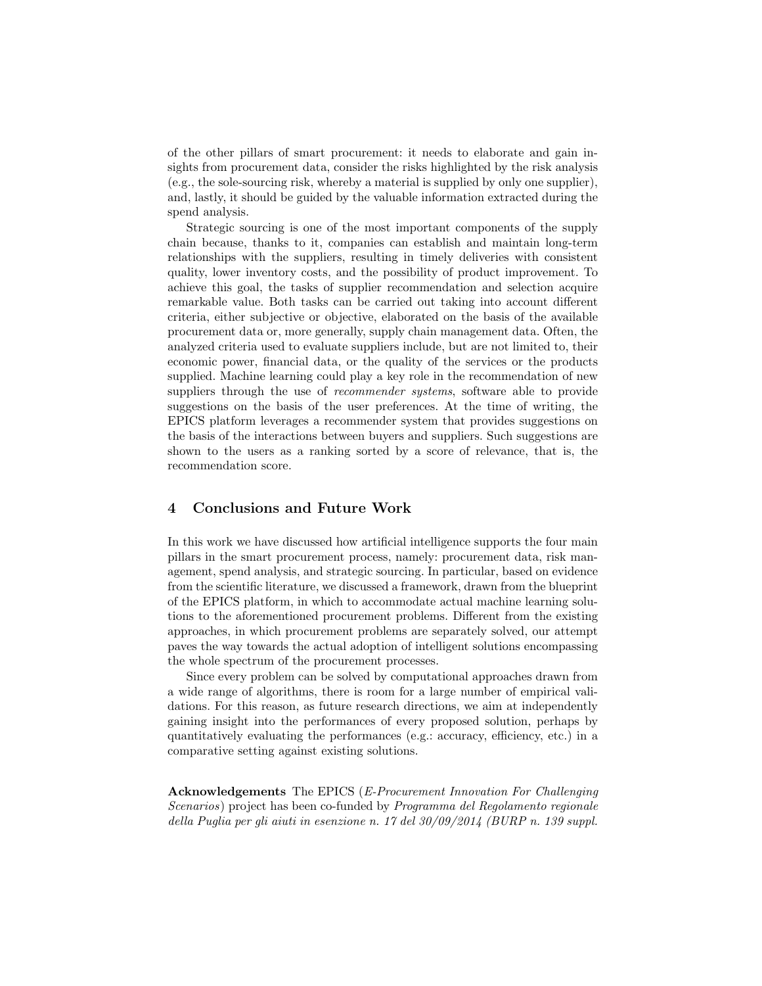of the other pillars of smart procurement: it needs to elaborate and gain insights from procurement data, consider the risks highlighted by the risk analysis (e.g., the sole-sourcing risk, whereby a material is supplied by only one supplier), and, lastly, it should be guided by the valuable information extracted during the spend analysis.

Strategic sourcing is one of the most important components of the supply chain because, thanks to it, companies can establish and maintain long-term relationships with the suppliers, resulting in timely deliveries with consistent quality, lower inventory costs, and the possibility of product improvement. To achieve this goal, the tasks of supplier recommendation and selection acquire remarkable value. Both tasks can be carried out taking into account different criteria, either subjective or objective, elaborated on the basis of the available procurement data or, more generally, supply chain management data. Often, the analyzed criteria used to evaluate suppliers include, but are not limited to, their economic power, financial data, or the quality of the services or the products supplied. Machine learning could play a key role in the recommendation of new suppliers through the use of *recommender systems*, software able to provide suggestions on the basis of the user preferences. At the time of writing, the EPICS platform leverages a recommender system that provides suggestions on the basis of the interactions between buyers and suppliers. Such suggestions are shown to the users as a ranking sorted by a score of relevance, that is, the recommendation score.

# 4 Conclusions and Future Work

In this work we have discussed how artificial intelligence supports the four main pillars in the smart procurement process, namely: procurement data, risk management, spend analysis, and strategic sourcing. In particular, based on evidence from the scientific literature, we discussed a framework, drawn from the blueprint of the EPICS platform, in which to accommodate actual machine learning solutions to the aforementioned procurement problems. Different from the existing approaches, in which procurement problems are separately solved, our attempt paves the way towards the actual adoption of intelligent solutions encompassing the whole spectrum of the procurement processes.

Since every problem can be solved by computational approaches drawn from a wide range of algorithms, there is room for a large number of empirical validations. For this reason, as future research directions, we aim at independently gaining insight into the performances of every proposed solution, perhaps by quantitatively evaluating the performances (e.g.: accuracy, efficiency, etc.) in a comparative setting against existing solutions.

Acknowledgements The EPICS (E-Procurement Innovation For Challenging Scenarios) project has been co-funded by Programma del Regolamento regionale della Puglia per gli aiuti in esenzione n. 17 del 30/09/2014 (BURP n. 139 suppl.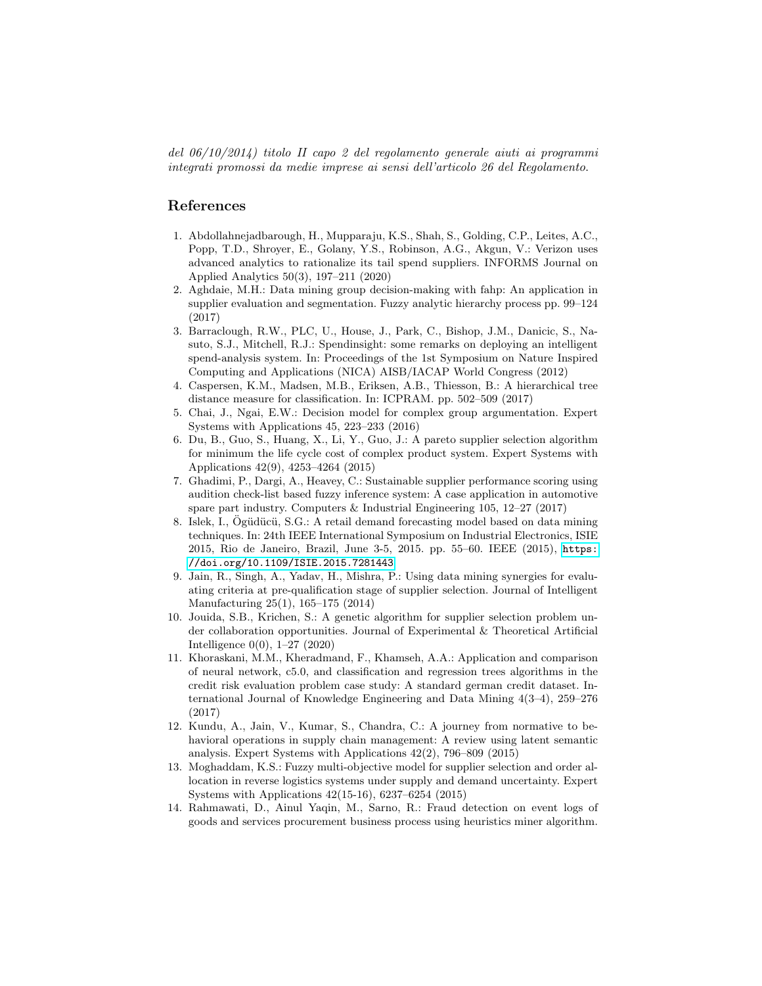del 06/10/2014) titolo II capo 2 del regolamento generale aiuti ai programmi integrati promossi da medie imprese ai sensi dell'articolo 26 del Regolamento.

## References

- <span id="page-6-7"></span>1. Abdollahnejadbarough, H., Mupparaju, K.S., Shah, S., Golding, C.P., Leites, A.C., Popp, T.D., Shroyer, E., Golany, Y.S., Robinson, A.G., Akgun, V.: Verizon uses advanced analytics to rationalize its tail spend suppliers. INFORMS Journal on Applied Analytics 50(3), 197–211 (2020)
- <span id="page-6-10"></span>2. Aghdaie, M.H.: Data mining group decision-making with fahp: An application in supplier evaluation and segmentation. Fuzzy analytic hierarchy process pp. 99–124 (2017)
- <span id="page-6-6"></span>3. Barraclough, R.W., PLC, U., House, J., Park, C., Bishop, J.M., Danicic, S., Nasuto, S.J., Mitchell, R.J.: Spendinsight: some remarks on deploying an intelligent spend-analysis system. In: Proceedings of the 1st Symposium on Nature Inspired Computing and Applications (NICA) AISB/IACAP World Congress (2012)
- <span id="page-6-8"></span>4. Caspersen, K.M., Madsen, M.B., Eriksen, A.B., Thiesson, B.: A hierarchical tree distance measure for classification. In: ICPRAM. pp. 502–509 (2017)
- <span id="page-6-1"></span>5. Chai, J., Ngai, E.W.: Decision model for complex group argumentation. Expert Systems with Applications 45, 223–233 (2016)
- <span id="page-6-5"></span>6. Du, B., Guo, S., Huang, X., Li, Y., Guo, J.: A pareto supplier selection algorithm for minimum the life cycle cost of complex product system. Expert Systems with Applications 42(9), 4253–4264 (2015)
- <span id="page-6-3"></span>7. Ghadimi, P., Dargi, A., Heavey, C.: Sustainable supplier performance scoring using audition check-list based fuzzy inference system: A case application in automotive spare part industry. Computers & Industrial Engineering 105, 12–27 (2017)
- <span id="page-6-13"></span>8. Islek, I., Ogüdücü, S.G.: A retail demand forecasting model based on data mining techniques. In: 24th IEEE International Symposium on Industrial Electronics, ISIE 2015, Rio de Janeiro, Brazil, June 3-5, 2015. pp. 55–60. IEEE (2015), [https:](https://doi.org/10.1109/ISIE.2015.7281443) [//doi.org/10.1109/ISIE.2015.7281443](https://doi.org/10.1109/ISIE.2015.7281443)
- <span id="page-6-9"></span>9. Jain, R., Singh, A., Yadav, H., Mishra, P.: Using data mining synergies for evaluating criteria at pre-qualification stage of supplier selection. Journal of Intelligent Manufacturing 25(1), 165–175 (2014)
- <span id="page-6-2"></span>10. Jouida, S.B., Krichen, S.: A genetic algorithm for supplier selection problem under collaboration opportunities. Journal of Experimental & Theoretical Artificial Intelligence 0(0), 1–27 (2020)
- <span id="page-6-12"></span>11. Khoraskani, M.M., Kheradmand, F., Khamseh, A.A.: Application and comparison of neural network, c5.0, and classification and regression trees algorithms in the credit risk evaluation problem case study: A standard german credit dataset. International Journal of Knowledge Engineering and Data Mining 4(3–4), 259–276 (2017)
- <span id="page-6-0"></span>12. Kundu, A., Jain, V., Kumar, S., Chandra, C.: A journey from normative to behavioral operations in supply chain management: A review using latent semantic analysis. Expert Systems with Applications 42(2), 796–809 (2015)
- <span id="page-6-4"></span>13. Moghaddam, K.S.: Fuzzy multi-objective model for supplier selection and order allocation in reverse logistics systems under supply and demand uncertainty. Expert Systems with Applications 42(15-16), 6237–6254 (2015)
- <span id="page-6-11"></span>14. Rahmawati, D., Ainul Yaqin, M., Sarno, R.: Fraud detection on event logs of goods and services procurement business process using heuristics miner algorithm.